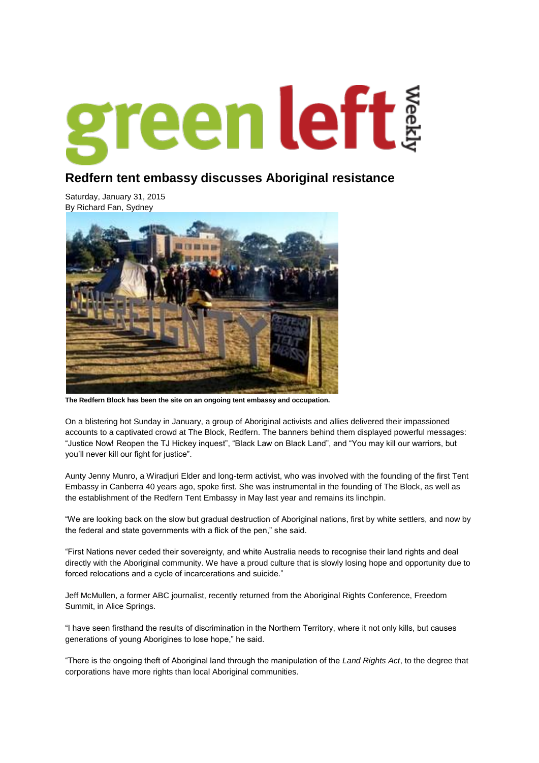

## **Redfern tent embassy discusses Aboriginal resistance**

Saturday, January 31, 2015 By [Richard Fan,](https://www.greenleft.org.au/taxonomy/term/5766) [Sydney](https://www.greenleft.org.au/taxonomy/term/2484)



**The Redfern Block has been the site on an ongoing tent embassy and occupation.**

On a blistering hot Sunday in January, a group of Aboriginal activists and allies delivered their impassioned accounts to a captivated crowd at The Block, Redfern. The banners behind them displayed powerful messages: "Justice Now! Reopen the TJ Hickey inquest", "Black Law on Black Land", and "You may kill our warriors, but you"ll never kill our fight for justice".

Aunty Jenny Munro, a Wiradjuri Elder and long-term activist, who was involved with the founding of the first Tent Embassy in Canberra 40 years ago, spoke first. She was instrumental in the founding of The Block, as well as the establishment of the Redfern Tent Embassy in May last year and remains its linchpin.

"We are looking back on the slow but gradual destruction of Aboriginal nations, first by white settlers, and now by the federal and state governments with a flick of the pen," she said.

"First Nations never ceded their sovereignty, and white Australia needs to recognise their land rights and deal directly with the Aboriginal community. We have a proud culture that is slowly losing hope and opportunity due to forced relocations and a cycle of incarcerations and suicide."

Jeff McMullen, a former ABC journalist, recently returned from the Aboriginal Rights Conference, Freedom Summit, in Alice Springs.

"I have seen firsthand the results of discrimination in the Northern Territory, where it not only kills, but causes generations of young Aborigines to lose hope," he said.

"There is the ongoing theft of Aboriginal land through the manipulation of the *Land Rights Act*, to the degree that corporations have more rights than local Aboriginal communities.